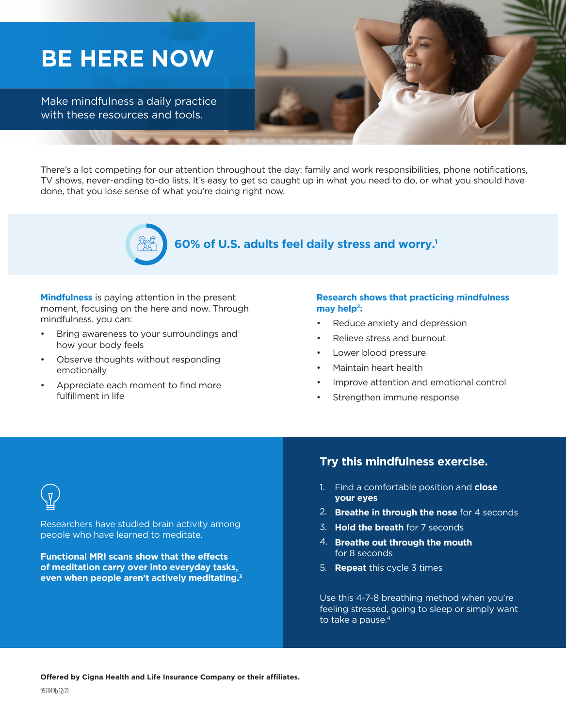# **BE HERE NOW**

Make mindfulness a daily practice with these resources and tools.





# **60% of U.S. adults feel daily stress and worry.1**

**Mindfulness** is paying attention in the present moment, focusing on the here and now. Through mindfulness, you can:

- Bring awareness to your surroundings and how your body feels
- Observe thoughts without responding emotionally
- Appreciate each moment to find more fulfillment in life

#### **Research shows that practicing mindfulness**  may help<sup>2</sup>:

- Reduce anxiety and depression
- Relieve stress and burnout
- Lower blood pressure
- Maintain heart health
- Improve attention and emotional control
- Strengthen immune response

Researchers have studied brain activity among people who have learned to meditate.

**Functional MRI scans show that the effects of meditation carry over into everyday tasks, even when people aren't actively meditating.3**

#### **Try this mindfulness exercise.**

- Find a comfortable position and **close**  1. **your eyes**
- **Breathe in through the nose** for 4 seconds 2.
- **Hold the breath** for 7 seconds 3.
- **Breathe out through the mouth** 4. for 8 seconds
- **Repeat** this cycle 3 times 5.

Use this 4-7-8 breathing method when you're feeling stressed, going to sleep or simply want to take a pause.<sup>4</sup>

**Offered by Cigna Health and Life Insurance Company or their affiliates.**